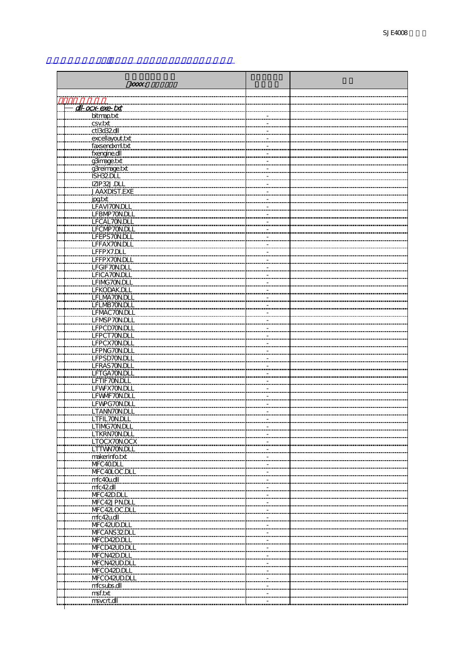| XXXX:                          |  |  |  |
|--------------------------------|--|--|--|
|                                |  |  |  |
|                                |  |  |  |
| dl-ocx-exe-txt                 |  |  |  |
| bitmap.txt                     |  |  |  |
| csv.txt                        |  |  |  |
| ctl3d32dll                     |  |  |  |
| excellayout.txt                |  |  |  |
| faxsendxml.txt<br>fxengine.dll |  |  |  |
| g3image.txt                    |  |  |  |
| g3reimage.txt                  |  |  |  |
| ISH32DLL                       |  |  |  |
| IZIP32J.DLL                    |  |  |  |
| <b>JAAXDIST.EXE</b>            |  |  |  |
| jpgtxt                         |  |  |  |
| LFAVI70N.DLL                   |  |  |  |
| LFBMP70N.DLL                   |  |  |  |
| LFCAL70N.DLL                   |  |  |  |
| LFCMP70N.DLL<br>LFEPS70N.DLL   |  |  |  |
| LFFAX70N.DLL                   |  |  |  |
| LFFPX7.DLL                     |  |  |  |
| LFFPX70N.DLL                   |  |  |  |
| LFGIF70N.DLL                   |  |  |  |
| LFICA7ON.DLL                   |  |  |  |
| LFIMG70N.DLL                   |  |  |  |
| LFKODAK.DLL                    |  |  |  |
| LFLMA70N.DLL                   |  |  |  |
| LFLMB70N.DLL                   |  |  |  |
| LFMAC70N.DLL<br>LFMSP70N.DLL   |  |  |  |
| LFPCD70N.DLL                   |  |  |  |
| LFPCT70N.DLL                   |  |  |  |
| LFPCX70N.DLL                   |  |  |  |
| LFPNG70N.DLL                   |  |  |  |
| LFPSD70N.DLL                   |  |  |  |
| <u>LFRAS7ON.DLL</u>            |  |  |  |
| LFTGA70N.DLL                   |  |  |  |
| LFTIF70N.DLL<br>LFWFX70N.DLL   |  |  |  |
| LFWVF70N.DLL                   |  |  |  |
| LFWPG70N.DLI                   |  |  |  |
| LTANN70N.DLL                   |  |  |  |
| LTFIL70N.DLL                   |  |  |  |
| LTIMG70N.DLL                   |  |  |  |
| LTKRN70N.DLL                   |  |  |  |
| <u>LTOCX70N.OCX</u>            |  |  |  |
| LTTWN70N.DLL                   |  |  |  |
| makerinfo.txt<br>MFC40DLL      |  |  |  |
| MFC40LOC.DLL                   |  |  |  |
| mfc40u.dll                     |  |  |  |
| mfc42dll                       |  |  |  |
| MFC42D.DLL                     |  |  |  |
| MFC42JPN.DLL                   |  |  |  |
| MFC42LOC.DLL                   |  |  |  |
| mfc42u.dll                     |  |  |  |
| MFC42UD.DLL                    |  |  |  |
| MFCANS32DLL<br>MFCD42D.DLL     |  |  |  |
| MFCD42UD.DLL                   |  |  |  |
| MFCN42D.DLL                    |  |  |  |
| MFCN42UD.DLL                   |  |  |  |
| MFCO42D.DLL                    |  |  |  |
| MFCO42UD.DLL                   |  |  |  |
| mfcsubs.dll                    |  |  |  |
| msf.txt                        |  |  |  |
| msvcrt.dll                     |  |  |  |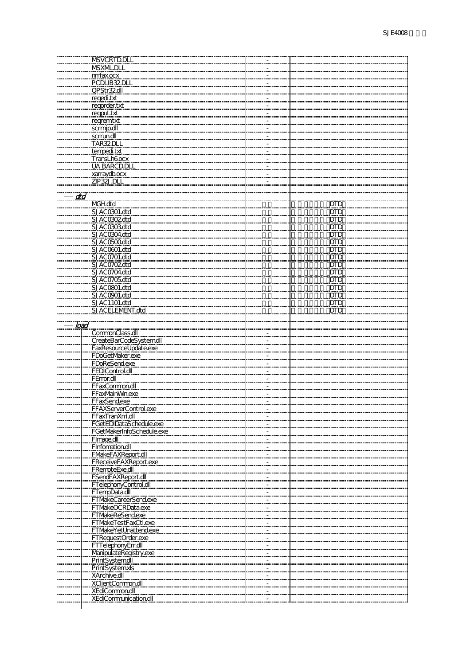|      | MSVCRTD.DLL                  |            |
|------|------------------------------|------------|
|      |                              |            |
|      | MSXML.DLL                    |            |
|      | nmfax.ocx                    |            |
|      | PCDLIB32DLI                  |            |
|      |                              |            |
|      | OPStr32dll                   |            |
|      | regedi.txt                   |            |
|      | regorder.txt                 |            |
|      |                              |            |
|      | reqput.txt                   |            |
|      | regremtxt                    |            |
|      |                              |            |
|      | scrmip.dll                   |            |
|      | scrrun.dll                   |            |
|      | TAR32DLL                     |            |
|      |                              |            |
|      | tempedi.txt                  |            |
|      | <b>TransLh6ocx</b>           |            |
|      |                              |            |
|      | <b>UA BARCD.DLL</b>          |            |
|      | xarraydb.ocx                 |            |
|      | ZIP32J.DLL                   |            |
|      |                              |            |
|      |                              |            |
| dtd  |                              |            |
|      |                              | <b>DTD</b> |
|      | MGH.dtd                      |            |
|      | SJAC0301.dtd                 | <b>DTD</b> |
|      | SJACO302dtd                  | <b>DTD</b> |
|      |                              |            |
|      | SJACO3O3dtd                  | DTD.       |
|      | SJAC0304.dtd                 | DTD        |
|      | SJACO500dtd                  |            |
|      |                              | <b>DTD</b> |
|      | SJACO601.dtd                 | DTD.       |
|      | SJAC0701.dtd                 | <b>DTD</b> |
|      |                              |            |
|      | <u>SJACO702dtd</u>           | <u>DTD</u> |
|      | SJAC0704.dtd                 | DTD        |
|      | SJAC0705dtd                  |            |
|      |                              | DTD        |
|      | SJACO801.dtd                 | <u>DTD</u> |
|      | SJACO901.dtd                 | <b>DTD</b> |
|      |                              |            |
|      | SJAC1101.dtd                 | <u>DTD</u> |
|      | SJACELEMENT.dtd              | <b>DTD</b> |
|      |                              |            |
|      |                              |            |
| load |                              |            |
|      | CommonClass.dll              |            |
|      |                              |            |
|      | CreateBarCodeSystemdll       |            |
|      | FaxResourceUpdate.exe        |            |
|      | FDoGetMaker.exe              |            |
|      |                              |            |
|      | FDoReSendexe                 |            |
|      | FEDIControl.dll              |            |
|      | FError.dll                   |            |
|      |                              |            |
|      | FFaxCommon.dll               |            |
|      | FFaxMainMinexe               |            |
|      | FFaxSend.exe                 |            |
|      |                              |            |
|      |                              |            |
|      | <b>FFAXServerControl.exe</b> |            |
|      |                              |            |
|      | FFaxTranXml.dll              |            |
|      | FGetEDIDataSchedule.exe      |            |
|      | FGetMakerInfoSchedule.exe    |            |
|      |                              |            |
|      | FImage.dll                   |            |
|      | FInformation.dll             |            |
|      |                              |            |
|      | <b>FMakeFAXReport.dll</b>    |            |
|      | <b>FReceiveFAXReport.exe</b> |            |
|      | FRemoteExe.dll               |            |
|      |                              |            |
|      | <b>FSendFAXReport.dll</b>    |            |
|      | FTelephonyControl.dll        |            |
|      | FTempData.dll                |            |
|      |                              |            |
|      | FTMakeCareerSend.exe         |            |
|      | FTMakeOCRData.exe            |            |
|      |                              |            |
|      | <b>FTMakeReSend.exe</b>      |            |
|      | FTMakeTestFaxCtl.exe         |            |
|      | FTMakeYetUnattend.exe        |            |
|      |                              |            |
|      | FTRequestOrder.exe           |            |
|      | FTTelephonyErr.dll           |            |
|      |                              |            |
|      | ManipulateRegistry.exe       |            |
|      | PrintSystemdll               |            |
|      | PrintSystemxls               |            |
|      |                              |            |
|      | XArchive.dll                 |            |
|      | <b>XClientCommon.dll</b>     |            |
|      | <b>XEdiCommon.dll</b>        |            |
|      |                              |            |
|      | XEdiCommunication.dll        |            |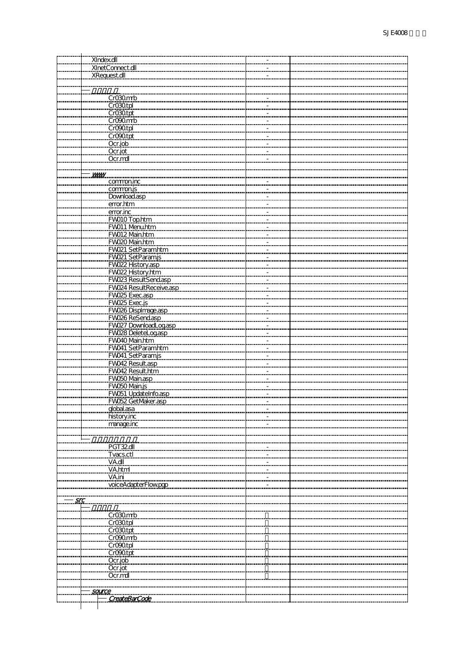|     | XIndex.dll              |  |
|-----|-------------------------|--|
|     | XInetConnect.dll        |  |
|     | <b>XRequest.dll</b>     |  |
|     |                         |  |
|     |                         |  |
|     |                         |  |
|     | Cr030mmb                |  |
|     | CrO30tpl                |  |
|     | CrO30tpt                |  |
|     | CrO <sub>20</sub> mb    |  |
|     | CrO90tpl                |  |
|     | CrO90tpt                |  |
|     | Ocr.job                 |  |
|     | Ocr.jot                 |  |
|     | Ocr.mdl                 |  |
|     |                         |  |
|     |                         |  |
|     | <b>VWWV</b>             |  |
|     | commoning               |  |
|     | commonis                |  |
|     | Download.asp            |  |
|     | error.htm               |  |
|     | error.inc               |  |
|     | FWO10 Top.htm           |  |
|     | FW011_Menu.htm          |  |
|     | FW012 Main.htm          |  |
|     | FW020 Main.htm          |  |
|     |                         |  |
|     | FWO21_SetParamhtm       |  |
|     | FWO21_SetParamjs        |  |
|     | FWO22 History.asp       |  |
|     | FWO22 History.htm       |  |
|     | FW023 ResultSend.asp    |  |
|     | FW024 ResultReceive.asp |  |
|     | FWO25 Exec.asp          |  |
|     | FWO25 Exec.js           |  |
|     | FWO26 Displmage.asp     |  |
|     | FW026 ReSend.asp        |  |
|     | FW027 DownloadLog.asp   |  |
|     | FW028 DeleteLog.asp     |  |
|     | FWO40 Main.htm          |  |
|     | FW041_SetParamhtm       |  |
|     | FW041_SetParamjs        |  |
|     |                         |  |
|     | FWO42 Result.asp        |  |
|     | FW042 Result.htm        |  |
|     | FWO50 Main.asp          |  |
|     | FWO50 Main.js           |  |
|     | FWO51_UpdateInfo.asp    |  |
|     | FWO52 GetMaker.asp      |  |
|     | dobal.asa               |  |
|     | history.inc             |  |
|     | manage.inc              |  |
|     |                         |  |
|     |                         |  |
|     | PGT32dll                |  |
|     | <b>Tvacs.ctl</b>        |  |
|     | VA.dll                  |  |
|     | VA.html                 |  |
|     |                         |  |
|     | VA.ini                  |  |
|     | voiceAdapterFlowpg      |  |
|     |                         |  |
| src |                         |  |
|     |                         |  |
|     | Cr030mb                 |  |
|     | CrO30tpl                |  |
|     | Cr030 tpt               |  |
|     | CrO90mb                 |  |
|     | CrO <sub>20tpl</sub>    |  |
|     | CrOOtpt                 |  |
|     | Ocr.job                 |  |
|     | Ocr.jot                 |  |
|     | Ocr.mdl                 |  |
|     |                         |  |
|     |                         |  |
|     | <u>source</u>           |  |
|     | CreateBarCode           |  |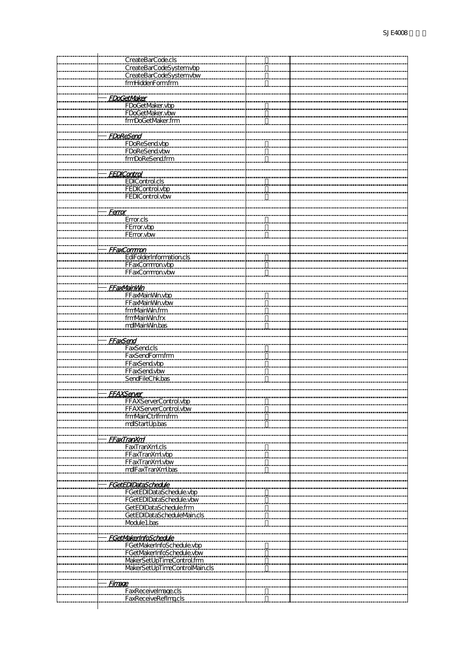| CreateBarCode.cls                                                    |  |
|----------------------------------------------------------------------|--|
| CreateBarCodeSystemvbp                                               |  |
|                                                                      |  |
| CreateBarCodeSystemvbw<br>fmHiddenFormfrm                            |  |
|                                                                      |  |
| FDoGetMaker<br>FDoGetMaker.vbp<br>FDoGetMaker.vbw<br>fmDoGetMaker.fm |  |
|                                                                      |  |
|                                                                      |  |
|                                                                      |  |
|                                                                      |  |
| <b>FDoReSend</b>                                                     |  |
|                                                                      |  |
| FDoReSendvbp<br>FDoReSendvbw<br>frmDoReSend.frm                      |  |
|                                                                      |  |
|                                                                      |  |
|                                                                      |  |
| <b>FEDICantrol</b>                                                   |  |
|                                                                      |  |
| EDIControl.cls<br>FEDIControl.vbp<br>FEDIControl.vbw                 |  |
|                                                                      |  |
|                                                                      |  |
| <u>Ferror</u>                                                        |  |
|                                                                      |  |
| Error.cls<br>FError.vbp                                              |  |
| FError.vbw                                                           |  |
|                                                                      |  |
| <b>FFaxCommon</b>                                                    |  |
| <b>EdiFolderInformation.cls</b>                                      |  |
| FFaxCommon.vbp<br>FFaxCommon.vbw                                     |  |
|                                                                      |  |
|                                                                      |  |
| <b>FFaxMainWin</b>                                                   |  |
| FFaxMainWn.vbp                                                       |  |
| FFaxMainWn.vbw                                                       |  |
| fmNainWn.frm                                                         |  |
| fmMainMn.frx                                                         |  |
| mdlMainWin.bas                                                       |  |
|                                                                      |  |
| <b>FFaxSend</b>                                                      |  |
| <b>FaxSend.cls</b>                                                   |  |
| FaxSendFormfrm                                                       |  |
| FFaxSend.vbp                                                         |  |
| FFaxSend.vbw                                                         |  |
| SendFileChk.bas                                                      |  |
|                                                                      |  |
| <b>FFAXServer</b>                                                    |  |
| <b>FFAXS</b>                                                         |  |
| FFAXServerControl.vbw                                                |  |
| frmMainCtrlfrmfrm                                                    |  |
| mdlStartUp.bas                                                       |  |
|                                                                      |  |
|                                                                      |  |
| <b>FFaxTranXnl</b>                                                   |  |
| FaxTranXml.cls                                                       |  |
| FFaxTranXml.vbp<br>FFaxTranXml.vbw                                   |  |
| mdlFaxTranXml.bas                                                    |  |
|                                                                      |  |
|                                                                      |  |
| <b>FGetEDIDataSchedule</b>                                           |  |
| FGetEDIDataSchedule.vbp                                              |  |
| FGetEDIDataSchedule.vbw                                              |  |
| GetEDIDataSchedule.frm                                               |  |
| GetEDIDataScheduleMain.cls                                           |  |
| Module1.bas                                                          |  |
|                                                                      |  |
| <b>FGetMakerInfoSchedule</b>                                         |  |
| FGetMakerInfoSchedule.vbp                                            |  |
|                                                                      |  |
| FGetMakerInfoSchedule.vbw                                            |  |
| MakerSetUpTimeControl.frm                                            |  |
| MakerSetUpTimeControlMain.cls                                        |  |
|                                                                      |  |
| <b>Firmace</b>                                                       |  |
| FaxReceivelmage.cls                                                  |  |
| FaxReceiveRefImgcls                                                  |  |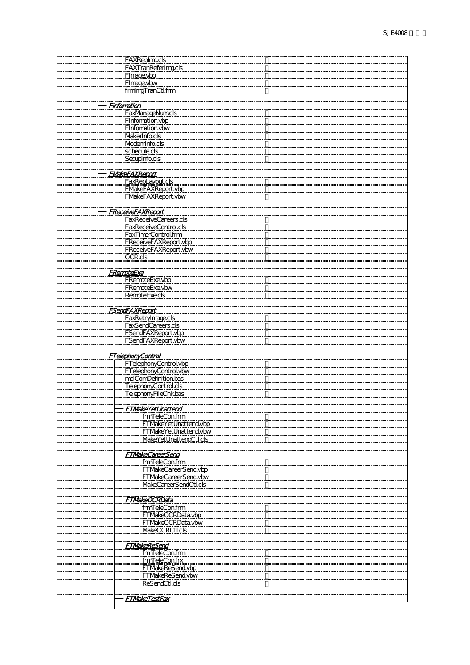| FAXRepImacls                                   |  |
|------------------------------------------------|--|
| <b>FAXTranReferImgcls</b>                      |  |
|                                                |  |
| Fimage.vbp                                     |  |
| Fimage.vbw                                     |  |
| fmingTranCtl.frm                               |  |
|                                                |  |
|                                                |  |
| <b>Finfornation</b>                            |  |
| FaxManageNumcls                                |  |
|                                                |  |
| Finformation.vbp                               |  |
| Finformation.vbw                               |  |
| MakerInfo.cls                                  |  |
|                                                |  |
| <b>ModemInfo.cls</b>                           |  |
| schedule.cls                                   |  |
| SetupInfo.cls                                  |  |
|                                                |  |
|                                                |  |
| <b>FMakeFAXReport</b>                          |  |
| FaxRepLayout.cls                               |  |
|                                                |  |
| FMakeFAXReport.vbp                             |  |
| <b>FMakeFAXReport.vbw</b>                      |  |
|                                                |  |
|                                                |  |
| <b>FReceiveFAXReport</b>                       |  |
|                                                |  |
| FaxReceiveCareers.cls<br>FaxReceiveControl.cls |  |
| FaxTimerControl.frm                            |  |
|                                                |  |
| <b>FReceiveFAXReport.vbp</b>                   |  |
| FReceiveFAXReport.vbw                          |  |
| OCR.cls                                        |  |
|                                                |  |
|                                                |  |
| <u>FRemoteExe</u>                              |  |
| FRemoteExe.vbp                                 |  |
|                                                |  |
| FRemoteExe.vbw                                 |  |
| RemoteExe.cls                                  |  |
|                                                |  |
|                                                |  |
| <b>FSendFAXReport</b>                          |  |
| FaxRetryImage.cls                              |  |
| <b>FaxSendCareers.cls</b>                      |  |
|                                                |  |
| FSendFAXReport.vbp                             |  |
| FSendFAXReport.vbw                             |  |
|                                                |  |
| <b>FTelephonyControl</b>                       |  |
|                                                |  |
| FTelephonyControl.vbp                          |  |
| FTelephonyControl.vbw                          |  |
| mdlComDefinition.bas                           |  |
|                                                |  |
| TelephonyControl.cls                           |  |
| TelephonyFileChk.bas                           |  |
|                                                |  |
|                                                |  |
| <u>FTMakeYetUnattend</u>                       |  |
| fmTeleCon.frm                                  |  |
| FTMakeYetUnattend.vbp                          |  |
| FTMakeYetUnattend.vbw                          |  |
|                                                |  |
| MakeYetUnattendCtl.cls                         |  |
|                                                |  |
| <b>FTMakeCareerSend</b>                        |  |
|                                                |  |
| fmTeleCon.frm                                  |  |
| FTMakeCareerSend.vbp                           |  |
| <b>FTMakeCareerSend.vbw</b>                    |  |
| MakeCareerSendCtl.cls                          |  |
|                                                |  |
|                                                |  |
| <u>FTMakeOCRData</u>                           |  |
| fmTeleCon.frm                                  |  |
|                                                |  |
| FTMakeOCRData.vbp                              |  |
| FTMakeOCRData.vbw                              |  |
| MakeOCRCtl.cls                                 |  |
|                                                |  |
|                                                |  |
| <b>FTMakeReSend</b>                            |  |
| fmTeleCon.frm                                  |  |
| fmTeleCon.frx                                  |  |
|                                                |  |
| FTMakeReSend.vbp                               |  |
| FTMakeReSend.vbw                               |  |
| ReSendCtl.cls                                  |  |
|                                                |  |
|                                                |  |
| <u>FTMakeTestFax</u>                           |  |
|                                                |  |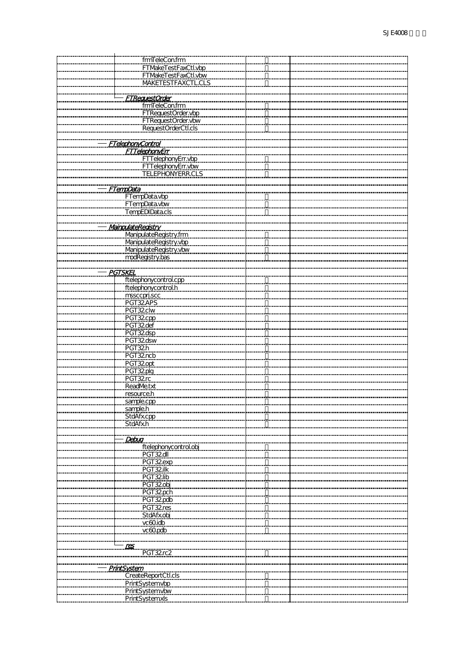| frmTeleCon.frm           |  |
|--------------------------|--|
| FTMakeTestFaxCtl.vbp     |  |
|                          |  |
| FTMakeTestFaxCtl.vbw     |  |
| MAKETESTFAXCTL.CLS       |  |
|                          |  |
| <b>FTRearestOrder</b>    |  |
| fmTeleCon.frm            |  |
|                          |  |
| FTRequestOrder.vbp       |  |
| FTRequestOrder.vbw       |  |
| RequestOrderCtl.cls      |  |
|                          |  |
| <b>FTelephonyControl</b> |  |
| <b>FTTelephonyEnr</b>    |  |
|                          |  |
| FTTelephonyErr.vbp       |  |
| FTTelephonyErr.vbw       |  |
| <b>TELEPHONYERR.CLS</b>  |  |
|                          |  |
| <b>FTempData</b>         |  |
| FTempData.vbp            |  |
|                          |  |
| FTempData.vbw            |  |
| TempEDIData.cls          |  |
|                          |  |
| MainpulateRedstry        |  |
| ManipulateRegistry.frm   |  |
| ManipulateRegistry.vbp   |  |
| ManipulateRegistry.vbw   |  |
|                          |  |
| modRegistry.bas          |  |
|                          |  |
| <b>PGTSKEL</b>           |  |
| ftelephonycontrol.cpp    |  |
| ftelephonycontrol.h      |  |
| mssccprj.scc             |  |
| PGT32APS                 |  |
|                          |  |
| PGT32clw                 |  |
| PGT32cpp                 |  |
| PGT32def                 |  |
| PGT32dsp                 |  |
| PGT32dsw                 |  |
| PGT32h                   |  |
| PGT32ncb                 |  |
|                          |  |
| PGT32opt                 |  |
| PGT32plg                 |  |
| PGT32rc                  |  |
| ReadMe.txt               |  |
| resource.h               |  |
|                          |  |
| sample.cpp<br>sample.h   |  |
|                          |  |
| StdAfx.cpp               |  |
| StdAfx.h                 |  |
|                          |  |
| Debug                    |  |
| ftelephonycontrol.obj    |  |
| PGT32dll                 |  |
| PGT32exp                 |  |
| PGT32ilk                 |  |
|                          |  |
| PGT 32lib                |  |
| PGT32obj                 |  |
| PGT32pch                 |  |
| PGT32pdb                 |  |
| PGT32res                 |  |
| <b>StdAfx.obj</b>        |  |
| vc60idb                  |  |
| vc60pdb                  |  |
|                          |  |
|                          |  |
| <u>res</u>               |  |
| PGT 32rc2                |  |
|                          |  |
| <u>PrintSystem</u>       |  |
| CreateReportCtl.cls      |  |
|                          |  |
| PrintSystemvbp           |  |
| PrintSystemvbw           |  |
| PrintSystemxls           |  |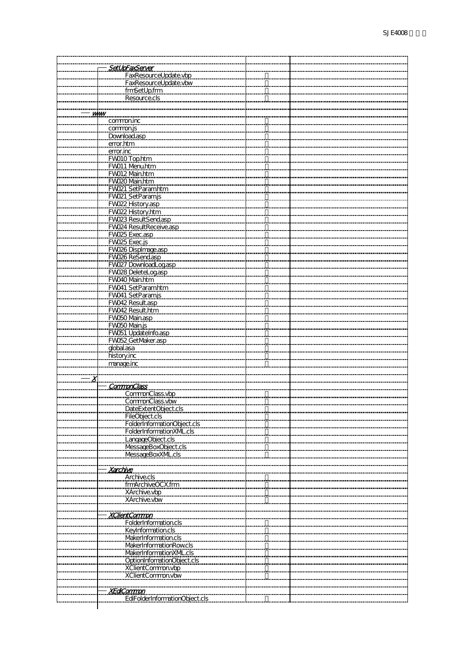|                     | SetUpFaxSenver<br>FaxResourceUpdate.vbp<br>FaxResourceUpdate.vbw |  |
|---------------------|------------------------------------------------------------------|--|
|                     |                                                                  |  |
|                     | fmSetUp.frm                                                      |  |
|                     |                                                                  |  |
|                     |                                                                  |  |
| <b>WWW</b>          |                                                                  |  |
|                     | commoning                                                        |  |
|                     | commonis                                                         |  |
|                     |                                                                  |  |
|                     | Download.asp                                                     |  |
|                     | error.htm                                                        |  |
|                     | error.inc                                                        |  |
|                     | FWO10 Top.htm                                                    |  |
|                     | FW011 Menuhtm                                                    |  |
|                     | FW012 Main.htm                                                   |  |
|                     | FW020_Main.htm                                                   |  |
|                     |                                                                  |  |
|                     | FWO21_SetParamhtm                                                |  |
|                     | FWO21 SetParamjs                                                 |  |
|                     | FW022 History.asp                                                |  |
|                     | FWO22 History.htm                                                |  |
|                     | FW023 ResultSend.asp                                             |  |
|                     | FW024 ResultReceive.asp                                          |  |
|                     | FW025 Exec.asp                                                   |  |
|                     |                                                                  |  |
|                     | FW025 Exec.js                                                    |  |
|                     | FW026 Displmage.asp                                              |  |
|                     | FW026 ReSend.asp                                                 |  |
|                     | FW027 DownloadLog.asp                                            |  |
|                     | FWO28 DeleteLogasp                                               |  |
|                     | FWO40 Main.htm                                                   |  |
|                     |                                                                  |  |
|                     | FW041_SetParamhtm                                                |  |
|                     | FW041_SetParamjs                                                 |  |
|                     | FW042 Result.asp                                                 |  |
|                     | FW042 Result.htm                                                 |  |
|                     | FWO50 Main.asp                                                   |  |
|                     | FWO50 Main.js                                                    |  |
|                     | FW051_UpdateInfo.asp                                             |  |
|                     |                                                                  |  |
|                     | FWO52 GetMaker.asp                                               |  |
|                     | global.asa                                                       |  |
|                     | history.inc                                                      |  |
|                     | manage.inc                                                       |  |
|                     |                                                                  |  |
| $\boldsymbol{\chi}$ |                                                                  |  |
|                     | <b>CommonClass</b>                                               |  |
|                     |                                                                  |  |
|                     | CommonClass.vbp                                                  |  |
|                     | CommonClass.vbw                                                  |  |
|                     | DateExtentObject.cls                                             |  |
|                     | <b>FileObject.cls</b>                                            |  |
|                     | FolderInformationObject.cls                                      |  |
|                     | FolderInformationXM_cls                                          |  |
|                     | LangageObject.cls                                                |  |
|                     | <b>MessageBoxObject.cls</b>                                      |  |
|                     |                                                                  |  |
|                     | MessageBoxXML.cls                                                |  |
|                     |                                                                  |  |
|                     | <u>Xarchive</u>                                                  |  |
|                     | <b>Archive.cls</b>                                               |  |
|                     | frmArchiveOCX.frm                                                |  |
|                     | XArchive.vbp                                                     |  |
|                     | XArchive.vbw                                                     |  |
|                     |                                                                  |  |
|                     |                                                                  |  |
|                     | <b>XClientCommon</b>                                             |  |
|                     | <b>FolderInformation.cls</b>                                     |  |
|                     | <b>KeyInformation.cls</b>                                        |  |
|                     | MakerInformation.cls                                             |  |
|                     | MakerInformationRowcls                                           |  |
|                     |                                                                  |  |
|                     | MakerInformationXM_cls                                           |  |
|                     | OptionInformationObject.cls                                      |  |
|                     | XClientCommon.vbp                                                |  |
|                     | XClientCommon.vbw                                                |  |
|                     |                                                                  |  |
|                     | <u>XEdiCommon</u>                                                |  |
|                     | EdiFolderInformationObject.cls                                   |  |
|                     |                                                                  |  |
|                     |                                                                  |  |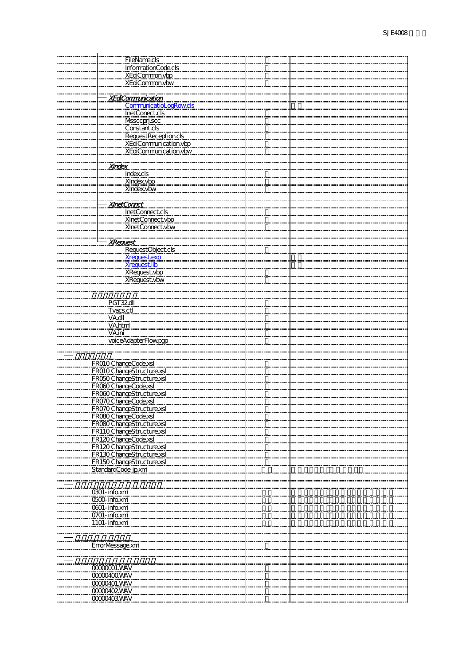| <b>FileName.cls</b>                  |  |
|--------------------------------------|--|
| InformationCode.cls                  |  |
|                                      |  |
| XEdiCommon.vbp                       |  |
| XEdiCommon.vbw                       |  |
|                                      |  |
| <b>XEdCommunication</b>              |  |
| <b>CommunicatioLogRowcls</b>         |  |
| <b>InetConect.cls</b>                |  |
|                                      |  |
| Mssccprj.scc                         |  |
| Constant.cls                         |  |
| RequestReception.cls                 |  |
| XEdiCommunication.vbp                |  |
| XEdiCommunication.vbw                |  |
|                                      |  |
| <b>Xindex</b>                        |  |
|                                      |  |
| Index.cls                            |  |
| XIndex.vbp                           |  |
| XIndex.vbw                           |  |
|                                      |  |
| <b>XInetConnct</b>                   |  |
| InetConnect.cls                      |  |
|                                      |  |
| XInetConnect.vbp<br>XInetConnect.vbw |  |
|                                      |  |
|                                      |  |
| <u>XRequest</u>                      |  |
| RequestObject.cls                    |  |
| <b>Xrequest.exp</b>                  |  |
| <b>Xrequest.lib</b>                  |  |
|                                      |  |
| XRequest.vbp                         |  |
| XRequest.vbw                         |  |
|                                      |  |
|                                      |  |
| <b>PGT 32dll</b>                     |  |
| Tvacs.ctl                            |  |
| VA.dll                               |  |
| VA.html                              |  |
|                                      |  |
| VA.ini                               |  |
| voiceAdapterFlowpgp                  |  |
|                                      |  |
|                                      |  |
| FROIO ChangeCode.xsl                 |  |
| FROIO ChangeStructure.xsl            |  |
| FRO50 ChangeS tructure.xsl           |  |
|                                      |  |
| FRO60 ChangeCode.xsl                 |  |
| FRO60 ChangeStructure.xsl            |  |
| FR070 ChangeCode.xsl                 |  |
| FR070 ChangeStructure.xsl            |  |
| FRO80 ChangeCode.xsl                 |  |
| FRO80 ChangeStructure.xsl            |  |
| FR110ChangeStructure.xsl             |  |
| FR120ChangeCode.xsl                  |  |
|                                      |  |
| FR120 ChangeStructure.xsl            |  |
| FR130 ChangeStructure.xsl            |  |
| FR150 ChangeStructure.xsl            |  |
| StandardCode_jp.xml                  |  |
|                                      |  |
|                                      |  |
| 0301-info.xml                        |  |
| <b>O500-info.xml</b>                 |  |
| 0601-info.xml                        |  |
|                                      |  |
| 0701-info.xml                        |  |
| 1101-info.xml                        |  |
|                                      |  |
|                                      |  |
| ErrorMessage.xml                     |  |
|                                      |  |
|                                      |  |
| <b>CCCCCCOOT.VAV</b>                 |  |
|                                      |  |
| <b>CCCCCACCIVAV</b>                  |  |
| 00000401.WAV                         |  |
| 00000402WAV                          |  |
| 00000403WAV                          |  |
|                                      |  |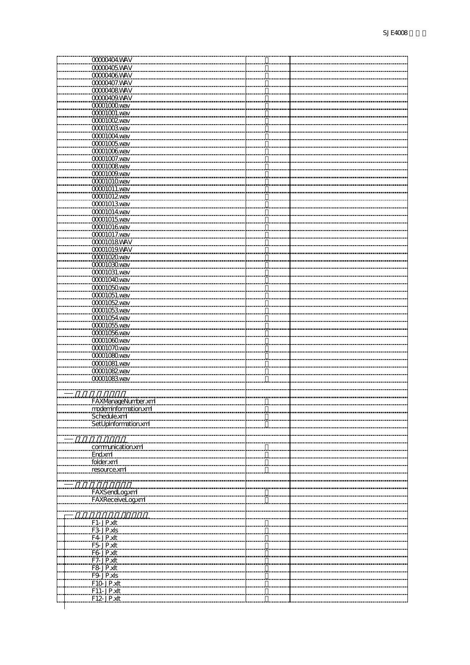| 000004WAV              |  |
|------------------------|--|
| 00000405WAV            |  |
| 00000406WAV            |  |
| 00000407.WAV           |  |
| 00000408WAV            |  |
| 00000409.WAV           |  |
| <b>CCCCTCCCOWAV</b>    |  |
| 00001001.wav           |  |
| <b>CCCCTICCO2 VAIV</b> |  |
| <b>CCCCO COO SWAV</b>  |  |
| 00001004.wav           |  |
| 00001005wav            |  |
| 00001006wav            |  |
| 00001007.wav           |  |
| <b>CCCCO CON AND</b>   |  |
| 00001009.wav           |  |
| <b>CCCCOTOTOWAV</b>    |  |
| 0000101.wav            |  |
| 00001012wav            |  |
| 00001013wav            |  |
| 000014 wav             |  |
| 00001015wav            |  |
| <b>CCCCOTCI GWAV</b>   |  |
| CCCCO1017.wav          |  |
| <b>CCCCOTORSWAV</b>    |  |
| 00001019.WAV           |  |
| 00001020 wav           |  |
| 00001030 way           |  |
| 00001031.wav           |  |
| 00001040 vav           |  |
| CCCCO1O5Qwav           |  |
| 00001051.wav           |  |
| 00001052way            |  |
| <b>00001053wav</b>     |  |
| 00001054.wav           |  |
| 00001055.wav           |  |
| 00001056wav            |  |
| <b>CCCCO TOCO VARY</b> |  |
| CCCO107Qwav            |  |
| CCCO1OBOWAV            |  |
| 00001081.wav           |  |
| 00001082wav            |  |
| 00001083wav            |  |
|                        |  |
| FAXManageNumber.xml    |  |
| moderninformation.xml  |  |
| Schedule.xml           |  |
| SetUpInformation.xml   |  |
|                        |  |
|                        |  |
| communication.xml      |  |
| End.xml                |  |
| folder.xml             |  |
| resource.xml           |  |
|                        |  |
|                        |  |
| FAXSendLogxml          |  |
| FAXReceiveLogxml       |  |
|                        |  |
|                        |  |
| F1-JP.xlt              |  |
| F3-JP.xls              |  |
| F4JP.xlt               |  |
| F5-JP.xlt              |  |
| F6 JP.xlt              |  |
| F7-JP.xlt              |  |
| F8-JP.xlt              |  |
| F9-JP.xls              |  |
| <u>F10-JP.xlt</u>      |  |
| F11-JP.xlt             |  |
| F12-JP.xlt             |  |
|                        |  |